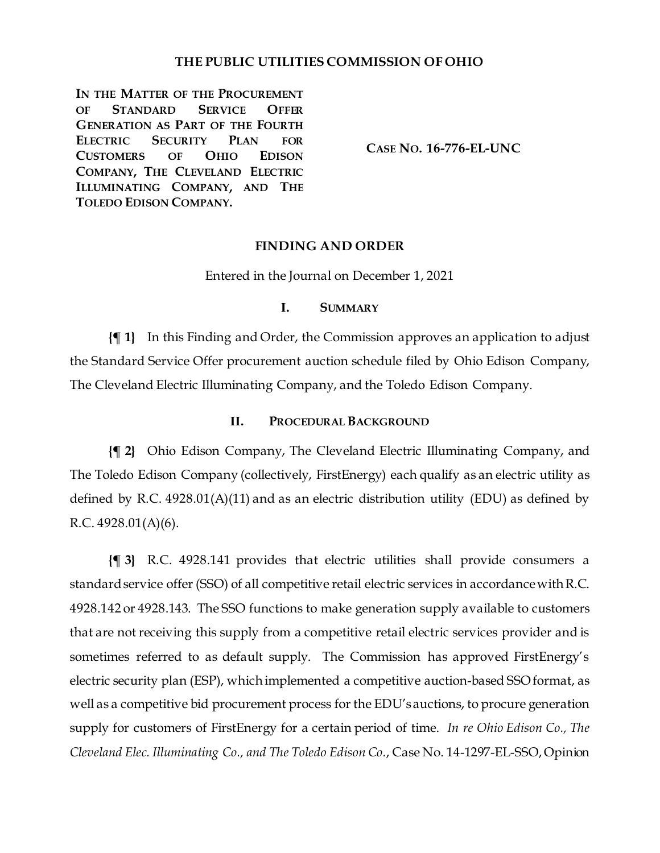## **THE PUBLIC UTILITIES COMMISSION OF OHIO**

IN THE MATTER OF THE PROCUREMENT **OF STANDARD SERVICE OFFER GENERATION AS PART OF THE FOURTH ELECTRIC SECURITY PLAN FOR CUSTOMERS OF OHIO EDISON COMPANY, THE CLEVELAND ELECTRIC ILLUMINATING COMPANY, AND THE TOLEDO EDISON COMPANY.**

**CASE NO. 16-776-EL-UNC**

### **FINDING AND ORDER**

Entered in the Journal on December 1, 2021

### **I. SUMMARY**

**{¶ 1}** In this Finding and Order, the Commission approves an application to adjust the Standard Service Offer procurement auction schedule filed by Ohio Edison Company, The Cleveland Electric Illuminating Company, and the Toledo Edison Company.

### **II. PROCEDURAL BACKGROUND**

**{¶ 2}** Ohio Edison Company, The Cleveland Electric Illuminating Company, and The Toledo Edison Company (collectively, FirstEnergy) each qualify as an electric utility as defined by R.C. 4928.01(A)(11) and as an electric distribution utility (EDU) as defined by R.C.  $4928.01(A)(6)$ .

**{¶ 3}** R.C. 4928.141 provides that electric utilities shall provide consumers a standard service offer (SSO) of all competitive retail electric services in accordance with R.C. 4928.142 or 4928.143. The SSO functions to make generation supply available to customers that are not receiving this supply from a competitive retail electric services provider and is sometimes referred to as default supply. The Commission has approved FirstEnergy's electric security plan (ESP), which implemented a competitive auction-based SSO format, as well as a competitive bid procurement process for the EDU'sauctions, to procure generation supply for customers of FirstEnergy for a certain period of time. *In re Ohio Edison Co., The Cleveland Elec. Illuminating Co., and The Toledo Edison Co.*, Case No. 14-1297-EL-SSO, Opinion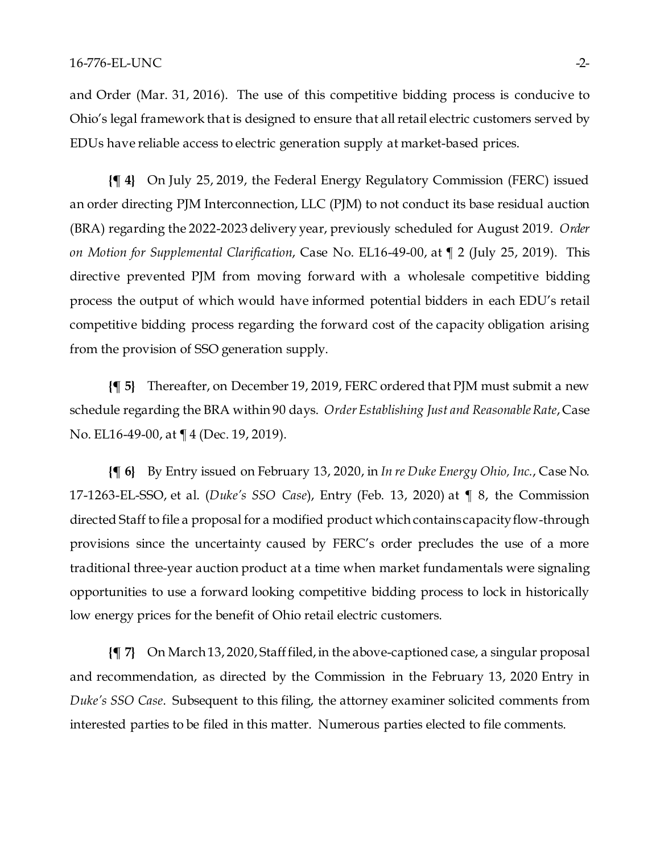and Order (Mar. 31, 2016). The use of this competitive bidding process is conducive to Ohio's legal framework that is designed to ensure that all retail electric customers served by EDUs have reliable access to electric generation supply at market-based prices.

**{¶ 4}** On July 25, 2019, the Federal Energy Regulatory Commission (FERC) issued an order directing PJM Interconnection, LLC (PJM) to not conduct its base residual auction (BRA) regarding the 2022-2023 delivery year, previously scheduled for August 2019. *Order on Motion for Supplemental Clarification*, Case No. EL16-49-00, at ¶ 2 (July 25, 2019). This directive prevented PJM from moving forward with a wholesale competitive bidding process the output of which would have informed potential bidders in each EDU's retail competitive bidding process regarding the forward cost of the capacity obligation arising from the provision of SSO generation supply.

**{¶ 5}** Thereafter, on December 19, 2019, FERC ordered that PJM must submit a new schedule regarding the BRA within 90 days. *Order Establishing Just and Reasonable Rate*, Case No. EL16-49-00, at ¶ 4 (Dec. 19, 2019).

**{¶ 6}** By Entry issued on February 13, 2020, in *In re Duke Energy Ohio, Inc.*, Case No. 17-1263-EL-SSO, et al. (*Duke's SSO Case*), Entry (Feb. 13, 2020) at ¶ 8, the Commission directed Staff to file a proposal for a modified product which containscapacity flow-through provisions since the uncertainty caused by FERC's order precludes the use of a more traditional three-year auction product at a time when market fundamentals were signaling opportunities to use a forward looking competitive bidding process to lock in historically low energy prices for the benefit of Ohio retail electric customers.

**{¶ 7}** On March 13, 2020, Staff filed, in the above-captioned case, a singular proposal and recommendation, as directed by the Commission in the February 13, 2020 Entry in *Duke's SSO Case*. Subsequent to this filing, the attorney examiner solicited comments from interested parties to be filed in this matter. Numerous parties elected to file comments.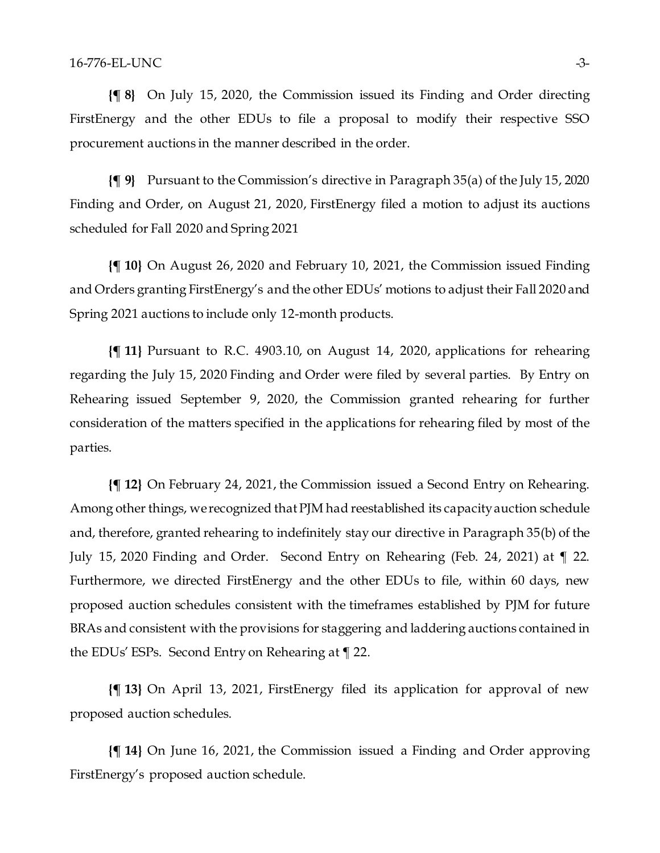**{¶ 8}** On July 15, 2020, the Commission issued its Finding and Order directing FirstEnergy and the other EDUs to file a proposal to modify their respective SSO procurement auctions in the manner described in the order.

**{¶ 9}** Pursuant to the Commission's directive in Paragraph 35(a) of the July 15, 2020 Finding and Order, on August 21, 2020, FirstEnergy filed a motion to adjust its auctions scheduled for Fall 2020 and Spring 2021

**{¶ 10}** On August 26, 2020 and February 10, 2021, the Commission issued Finding and Orders granting FirstEnergy's and the other EDUs' motions to adjust their Fall 2020 and Spring 2021 auctions to include only 12-month products.

**{¶ 11}** Pursuant to R.C. 4903.10, on August 14, 2020, applications for rehearing regarding the July 15, 2020 Finding and Order were filed by several parties. By Entry on Rehearing issued September 9, 2020, the Commission granted rehearing for further consideration of the matters specified in the applications for rehearing filed by most of the parties.

**{¶ 12}** On February 24, 2021, the Commission issued a Second Entry on Rehearing. Among other things, we recognized that PJM had reestablished its capacity auction schedule and, therefore, granted rehearing to indefinitely stay our directive in Paragraph 35(b) of the July 15, 2020 Finding and Order. Second Entry on Rehearing (Feb. 24, 2021) at ¶ 22. Furthermore, we directed FirstEnergy and the other EDUs to file, within 60 days, new proposed auction schedules consistent with the timeframes established by PJM for future BRAs and consistent with the provisions for staggering and laddering auctions contained in the EDUs' ESPs. Second Entry on Rehearing at ¶ 22.

**{¶ 13}** On April 13, 2021, FirstEnergy filed its application for approval of new proposed auction schedules.

**{¶ 14}** On June 16, 2021, the Commission issued a Finding and Order approving FirstEnergy's proposed auction schedule.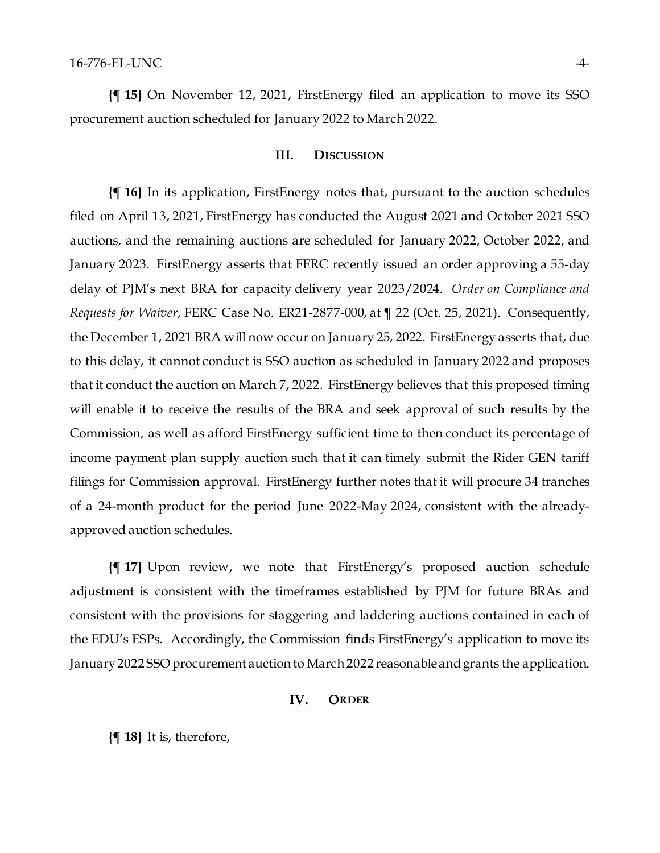**{¶ 15}** On November 12, 2021, FirstEnergy filed an application to move its SSO procurement auction scheduled for January 2022 to March 2022.

#### **III. DISCUSSION**

**{¶ 16}** In its application, FirstEnergy notes that, pursuant to the auction schedules filed on April 13, 2021, FirstEnergy has conducted the August 2021 and October 2021 SSO auctions, and the remaining auctions are scheduled for January 2022, October 2022, and January 2023. FirstEnergy asserts that FERC recently issued an order approving a 55-day delay of PJM's next BRA for capacity delivery year 2023/2024. *Order on Compliance and Requests for Waiver*, FERC Case No. ER21-2877-000, at ¶ 22 (Oct. 25, 2021). Consequently, the December 1, 2021 BRA will now occur on January 25, 2022. FirstEnergy asserts that, due to this delay, it cannot conduct is SSO auction as scheduled in January 2022 and proposes that it conduct the auction on March 7, 2022. FirstEnergy believes that this proposed timing will enable it to receive the results of the BRA and seek approval of such results by the Commission, as well as afford FirstEnergy sufficient time to then conduct its percentage of income payment plan supply auction such that it can timely submit the Rider GEN tariff filings for Commission approval. FirstEnergy further notes that it will procure 34 tranches of a 24-month product for the period June 2022-May 2024, consistent with the alreadyapproved auction schedules.

**{¶ 17}** Upon review, we note that FirstEnergy's proposed auction schedule adjustment is consistent with the timeframes established by PJM for future BRAs and consistent with the provisions for staggering and laddering auctions contained in each of the EDU's ESPs. Accordingly, the Commission finds FirstEnergy's application to move its January 2022 SSO procurement auction to March 2022 reasonableand grants the application.

#### **IV. ORDER**

**{¶ 18}** It is, therefore,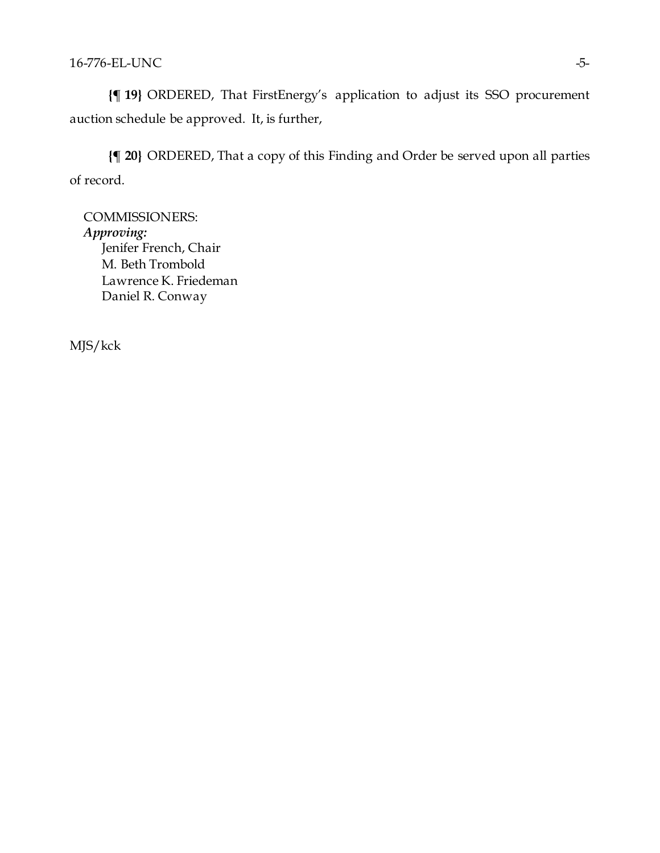**{¶ 19}** ORDERED, That FirstEnergy's application to adjust its SSO procurement auction schedule be approved. It, is further,

**{¶ 20}** ORDERED, That a copy of this Finding and Order be served upon all parties of record.

COMMISSIONERS: *Approving:*  Jenifer French, Chair M. Beth Trombold Lawrence K. Friedeman Daniel R. Conway

MJS/kck